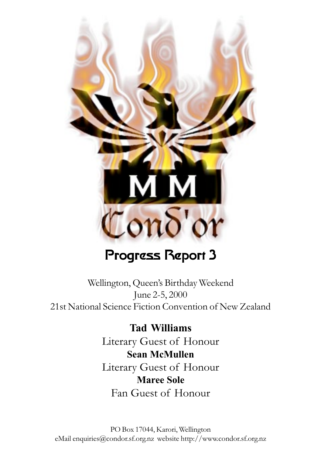

## Progress Report 3

Wellington, Queen's Birthday Weekend June 2-5, 2000 21st National Science Fiction Convention of New Zealand

> **Tad Williams** Literary Guest of Honour **Sean McMullen** Literary Guest of Honour **Maree Sole** Fan Guest of Honour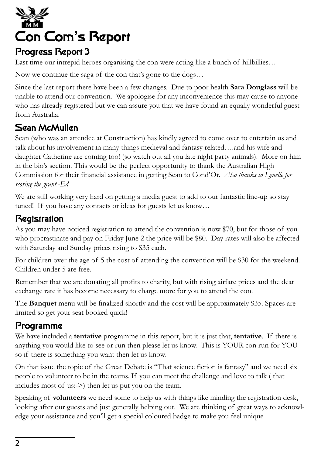

#### Progress Report 3

Last time our intrepid heroes organising the con were acting like a bunch of hillbillies…

Now we continue the saga of the con that's gone to the dogs…

Since the last report there have been a few changes. Due to poor health **Sara Douglass** will be unable to attend our convention. We apologise for any inconvenience this may cause to anyone who has already registered but we can assure you that we have found an equally wonderful guest from Australia.

#### Sean McMullen

Sean (who was an attendee at Construction) has kindly agreed to come over to entertain us and talk about his involvement in many things medieval and fantasy related….and his wife and daughter Catherine are coming too! (so watch out all you late night party animals). More on him in the bio's section. This would be the perfect opportunity to thank the Australian High Commission for their financial assistance in getting Sean to Cond'Or. *Also thanks to Lynelle for scoring the grant.-Ed*

We are still working very hard on getting a media guest to add to our fantastic line-up so stay tuned! If you have any contacts or ideas for guests let us know…

#### Registration

As you may have noticed registration to attend the convention is now \$70, but for those of you who procrastinate and pay on Friday June 2 the price will be \$80. Day rates will also be affected with Saturday and Sunday prices rising to \$35 each.

For children over the age of 5 the cost of attending the convention will be \$30 for the weekend. Children under 5 are free.

Remember that we are donating all profits to charity, but with rising airfare prices and the dear exchange rate it has become necessary to charge more for you to attend the con.

The **Banquet** menu will be finalized shortly and the cost will be approximately \$35. Spaces are limited so get your seat booked quick!

#### Programme

We have included a **tentative** programme in this report, but it is just that, **tentative**. If there is anything you would like to see or run then please let us know. This is YOUR con run for YOU so if there is something you want then let us know.

On that issue the topic of the Great Debate is "That science fiction is fantasy" and we need six people to volunteer to be in the teams. If you can meet the challenge and love to talk ( that includes most of us:->) then let us put you on the team.

Speaking of **volunteers** we need some to help us with things like minding the registration desk, looking after our guests and just generally helping out. We are thinking of great ways to acknowledge your assistance and you'll get a special coloured badge to make you feel unique.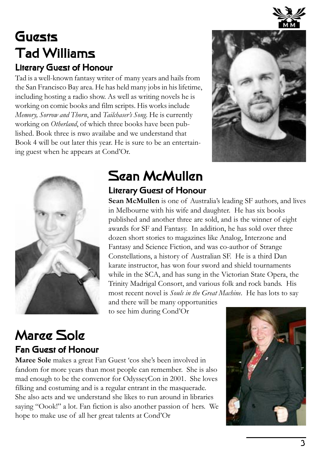## **Guests** Tad Williams Tad Williams Literary Guest of Honour

Tad is a well-known fantasy writer of many years and hails from the San Francisco Bay area. He has held many jobs in his lifetime, including hosting a radio show. As well as writing novels he is working on comic books and film scripts. His works include *Memory, Sorrow and Thorn*, and *Tailchaser's Song*. He is currently working on *Otherland*, of which three books have been published. Book three is nwo availabe and we understand that Book 4 will be out later this year. He is sure to be an entertaining guest when he appears at Cond'Or.





### Scan McMullcn Literary Guest of Honour

**Sean McMullen** is one of Australia's leading SF authors, and lives in Melbourne with his wife and daughter. He has six books published and another three are sold, and is the winner of eight awards for SF and Fantasy. In addition, he has sold over three dozen short stories to magazines like Analog, Interzone and Fantasy and Science Fiction, and was co-author of Strange Constellations, a history of Australian SF. He is a third Dan karate instructor, has won four sword and shield tournaments while in the SCA, and has sung in the Victorian State Opera, the Trinity Madrigal Consort, and various folk and rock bands. His most recent novel is *Souls in the Great Machine*. He has lots to say and there will be many opportunities

to see him during Cond'Or

### Marge Sole Fan Guest of Honour

**Maree Sole** makes a great Fan Guest 'cos she's been involved in fandom for more years than most people can remember. She is also mad enough to be the convenor for OdysseyCon in 2001. She loves filking and costuming and is a regular entrant in the masquerade. She also acts and we understand she likes to run around in libraries saying "Oook!" a lot. Fan fiction is also another passion of hers. We hope to make use of all her great talents at Cond'Or

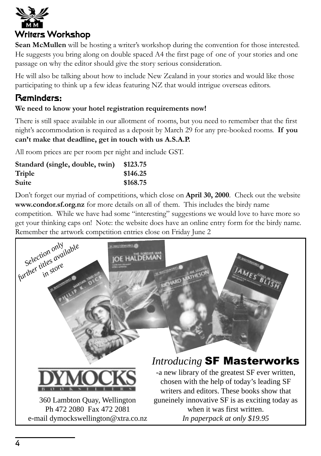

**Sean McMullen** will be hosting a writer's workshop during the convention for those interested. He suggests you bring along on double spaced A4 the first page of one of your stories and one passage on why the editor should give the story serious consideration.

He will also be talking about how to include New Zealand in your stories and would like those participating to think up a few ideas featuring NZ that would intrigue overseas editors.

#### Reminders:

#### **We need to know your hotel registration requirements now!**

There is still space available in our allotment of rooms, but you need to remember that the first night's accommodation is required as a deposit by March 29 for any pre-booked rooms. **If you can't make that deadline, get in touch with us A.S.A.P.**

All room prices are per room per night and include GST.

| Standard (single, double, twin) | \$123.75 |
|---------------------------------|----------|
| Triple                          | \$146.25 |
| Suite                           | \$168.75 |

Don't forget our myriad of competitions, which close on **April 30, 2000**. Check out the website **www.condor.sf.org.nz** for more details on all of them. This includes the birdy name competition. While we have had some "interesting" suggestions we would love to have more so get your thinking caps on! Note: the website does have an online entry form for the birdy name. Remember the artwork competition entries close on Friday June 2

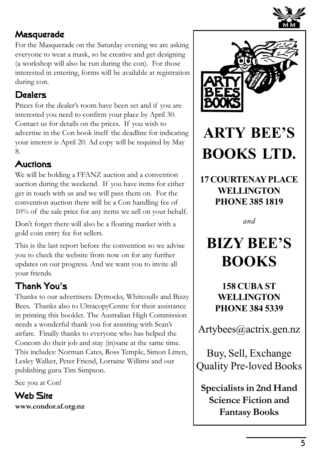

#### Masquerade

For the Masquerade on the Saturday evening we are asking everyone to wear a mask, so be creative and get designing (a workshop will also be run during the con). For those interested in entering, forms will be available at registration during con.

#### Dealers

Prices for the dealer's room have been set and if you are interested you need to confirm your place by April 30. Contact us for details on the prices. If you wish to advertise in the Con book itself the deadline for indicating your interest is April 20. Ad copy will be required by May 8.

#### **Auctions**

We will be holding a FFANZ auction and a convention auction during the weekend. If you have items for either get in touch with us and we will pass them on. For the convention auction there will be a Con handling fee of 10% of the sale price for any items we sell on your behalf.

Don't forget there will also be a floating market with a gold coin entry fee for sellers.

This is the last report before the convention so we advise you to check the website from now on for any further updates on our progress. And we want you to invite all your friends.

#### Thank You**'**s

Thanks to our advertisers: Dymocks, Whitcoulls and Bizzy Bees. Thanks also to UltracopyCentre for their assistance in printing this booklet. The Australian High Commission needs a wonderful thank you for assisting with Sean's airfare. Finally thanks to everyone who has helped the Concom do their job and stay (in)sane at the same time. This includes: Norman Cates, Ross Temple, Simon Litten, Lesley Walker, Peter Friend, Lorraine Willims and our publishing guru Tim Simpson.

See you at Con!

Web Site **www.condor.sf.org.nz**



# **ARTY BEE'S BOOKS LTD.**

**17 COURTENAY PLACE WELLINGTON PHONE 385 1819**

*and*

# **BIZY BEE'S BOOKS**

**158 CUBA ST WELLINGTON PHONE 384 5339**

Artybees@actrix.gen.nz

Buy, Sell, Exchange Quality Pre-loved Books

**Specialists in 2nd Hand Science Fiction and Fantasy Books**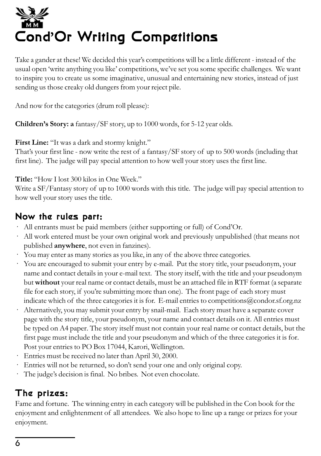# **Cond'Or Writing Competitions**

Take a gander at these! We decided this year's competitions will be a little different - instead of the usual open 'write anything you like' competitions, we've set you some specific challenges. We want to inspire you to create us some imaginative, unusual and entertaining new stories, instead of just sending us those creaky old dungers from your reject pile.

And now for the categories (drum roll please):

**Children's Story: a** fantasy/SF story, up to 1000 words, for 5-12 year olds.

**First Line:** "It was a dark and stormy knight."

That's your first line - now write the rest of a fantasy/SF story of up to 500 words (including that first line). The judge will pay special attention to how well your story uses the first line.

**Title:** "How I lost 300 kilos in One Week."

Write a SF/Fantasy story of up to 1000 words with this title. The judge will pay special attention to how well your story uses the title.

#### Now the rules part:

- All entrants must be paid members (either supporting or full) of Cond'Or.
- All work entered must be your own original work and previously unpublished (that means not published **anywhere**, not even in fanzines).
- · You may enter as many stories as you like, in any of the above three categories.
- · You are encouraged to submit your entry by e-mail. Put the story title, your pseudonym, your name and contact details in your e-mail text. The story itself, with the title and your pseudonym but **without** your real name or contact details, must be an attached file in RTF format (a separate file for each story, if you're submitting more than one). The front page of each story must indicate which of the three categories it is for. E-mail entries to competitions@condor.sf.org.nz
- · Alternatively, you may submit your entry by snail-mail. Each story must have a separate cover page with the story title, your pseudonym, your name and contact details on it. All entries must be typed on A4 paper. The story itself must not contain your real name or contact details, but the first page must include the title and your pseudonym and which of the three categories it is for. Post your entries to PO Box 17044, Karori, Wellington.
- Entries must be received no later than April 30, 2000.
- Entries will not be returned, so don't send your one and only original copy.
- The judge's decision is final. No bribes. Not even chocolate.

#### The prizes:

Fame and fortune. The winning entry in each category will be published in the Con book for the enjoyment and enlightenment of all attendees. We also hope to line up a range or prizes for your enjoyment.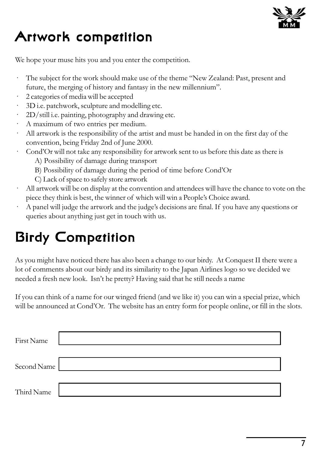

# Artwork competition

We hope your muse hits you and you enter the competition.

- The subject for the work should make use of the theme "New Zealand: Past, present and future, the merging of history and fantasy in the new millennium".
- · 2 categories of media will be accepted
- 3D i.e. patchwork, sculpture and modelling etc.
- 2D/still i.e. painting, photography and drawing etc.
- · A maximum of two entries per medium.
- All artwork is the responsibility of the artist and must be handed in on the first day of the convention, being Friday 2nd of June 2000.
- Cond'Or will not take any responsibility for artwork sent to us before this date as there is
	- A) Possibility of damage during transport
	- B) Possibility of damage during the period of time before Cond'Or
	- C) Lack of space to safely store artwork
- All artwork will be on display at the convention and attendees will have the chance to vote on the piece they think is best, the winner of which will win a People's Choice award.
- · A panel will judge the artwork and the judge's decisions are final. If you have any questions or queries about anything just get in touch with us.

# **Birdy Competition**

As you might have noticed there has also been a change to our birdy. At Conquest II there were a lot of comments about our birdy and its similarity to the Japan Airlines logo so we decided we needed a fresh new look. Isn't he pretty? Having said that he still needs a name

If you can think of a name for our winged friend (and we like it) you can win a special prize, which will be announced at Cond'Or. The website has an entry form for people online, or fill in the slots.

| First Name  |  |
|-------------|--|
| Second Name |  |
| Third Name  |  |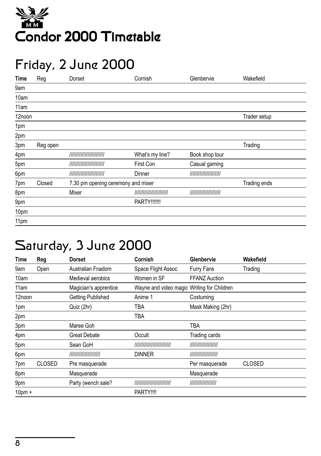

# Friday, 2 June 2000

| Time   | Reg      | Dorset                             | Cornish                  | Glenbervie             | Wakefield    |
|--------|----------|------------------------------------|--------------------------|------------------------|--------------|
| 9am    |          |                                    |                          |                        |              |
| 10am   |          |                                    |                          |                        |              |
| 11am   |          |                                    |                          |                        |              |
| 12noon |          |                                    |                          |                        | Trader setup |
| 1pm    |          |                                    |                          |                        |              |
| 2pm    |          |                                    |                          |                        |              |
| 3pm    | Reg open |                                    |                          |                        | Trading      |
| 4pm    |          | /////////////////////////          | What's my line?          | Book shop tour         |              |
| 5pm    |          | /////////////////////////          | First Con                | Casual gaming          |              |
| 6pm    |          | /////////////////////////          | Dinner                   | ////////////////////// |              |
| 7pm    | Closed   | 7.30 pm opening ceremony and mixer |                          |                        | Trading ends |
| 8pm    |          | Mixer                              | //////////////////////// | /////////////////////  |              |
| 9pm    |          |                                    | <b>PARTY!!!!!!!</b>      |                        |              |
| 10pm   |          |                                    |                          |                        |              |
| 11pm   |          |                                    |                          |                        |              |

## Saturday, 3 June 2000

| <b>Time</b> | Reg           | <b>Dorset</b>          | Cornish                                    | Glenbervie           | Wakefield     |
|-------------|---------------|------------------------|--------------------------------------------|----------------------|---------------|
| 9am         | Open          | Australian Fnadom      | Space Flight Assoc                         | Furry Fans           | Trading       |
| 10am        |               | Medieval aerobics      | Women in SF                                | <b>FFANZ Auction</b> |               |
| 11am        |               | Magician's apprentice  | Wayne and video magic Writing for Children |                      |               |
| 12noon      |               | Getting Published      | Anime 1                                    | Costuming            |               |
| 1pm         |               | Quiz (2hr)             | TBA                                        | Mask Making (2hr)    |               |
| 2pm         |               |                        | TBA                                        |                      |               |
| 3pm         |               | Maree Goh              |                                            | TBA                  |               |
| 4pm         |               | <b>Great Debate</b>    | Occult                                     | Trading cards        |               |
| 5pm         |               | Sean GoH               | ,,,,,,,,,,,,,,,,,,,,,,,,,                  | //////////////////// |               |
| 6pm         |               | ,,,,,,,,,,,,,,,,,,,,,, | <b>DINNER</b>                              | ///////////////////  |               |
| 7pm         | <b>CLOSED</b> | Pre masquerade         |                                            | Per masquerade       | <b>CLOSED</b> |
| 8pm         |               | Masquerade             |                                            | Masquerade           |               |
| 9pm         |               | Party (wench sale?     | ,,,,,,,,,,,,,,,,,,,,,,,,,                  | //////////////////   |               |
| $10pm +$    |               |                        | PARTY!!!!                                  |                      |               |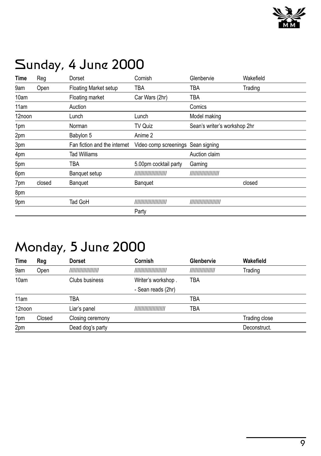

# Sunday, 4 June 2000

| Time            | Reg    | Dorset                       | Cornish                            | Glenbervie                   | Wakefield |
|-----------------|--------|------------------------------|------------------------------------|------------------------------|-----------|
| 9am             | Open   | <b>Floating Market setup</b> | TBA                                | TBA                          | Trading   |
| 10am            |        | Floating market              | Car Wars (2hr)                     | TBA                          |           |
| 11am            |        | Auction                      |                                    | Comics                       |           |
| 12noon          |        | Lunch                        | Lunch                              | Model making                 |           |
| 1pm             |        | Norman                       | TV Quiz                            | Sean's writer's workshop 2hr |           |
| 2 <sub>pm</sub> |        | Babylon 5                    | Anime 2                            |                              |           |
| 3pm             |        | Fan fiction and the internet | Video comp screenings Sean signing |                              |           |
| 4pm             |        | Tad Williams                 |                                    | Auction claim                |           |
| 5pm             |        | TBA                          | 5.00pm cocktail party              | Gaming                       |           |
| 6pm             |        | Banquet setup                | ,,,,,,,,,,,,,,,,,,,,,,             | /////////////////////        |           |
| 7pm             | closed | <b>Banguet</b>               | <b>Banguet</b>                     |                              | closed    |
| 8pm             |        |                              |                                    |                              |           |
| 9pm             |        | Tad GoH                      | ,,,,,,,,,,,,,,,,,,,,,,             | /////////////////////        |           |
|                 |        |                              | Party                              |                              |           |

# Monday, 5 June 2000

| Time   | Reg    | Dorset               | Cornish                 | Glenbervie        | Wakefield     |  |
|--------|--------|----------------------|-------------------------|-------------------|---------------|--|
| 9am    | Open   | //////////////////// | /////////////////////// | ///////////////// | Trading       |  |
| 10am   |        | Clubs business       | Writer's workshop.      | TBA               |               |  |
|        |        |                      | - Sean reads (2hr)      |                   |               |  |
| 11am   |        | TBA                  |                         | TBA               |               |  |
| 12noon |        | Liar's panel         | //////////////////////  | TBA               |               |  |
| 1pm    | Closed | Closing ceremony     |                         |                   | Trading close |  |
| 2pm    |        | Dead dog's party     |                         |                   | Deconstruct.  |  |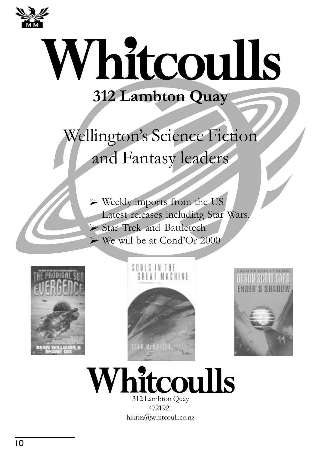

# Whitcoulls **312 Lambton Quay**

# Wellington's Science Fiction and Fantasy leaders

Weekly imports from the US Latest releases including Star Wars, Star Trek and Battletech  $\triangleright$  We will be at Cond'Or 2000







tcoulls 312 Lambton Quay

> 4721921 hikitia@whitcoull.co.nz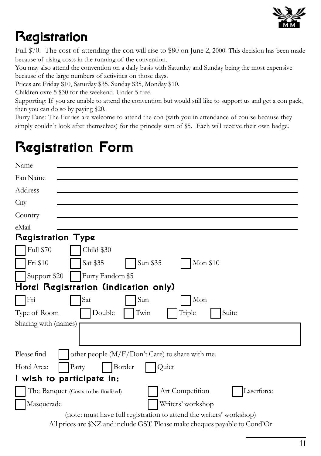

# **Registration**

Full \$70. The cost of attending the con will rise to \$80 on June 2, 2000. This decision has been made because of rising costs in the running of the convention.

You may also attend the convention on a daily basis with Saturday and Sunday being the most expensive because of the large numbers of activities on those days.

Prices are Friday \$10, Saturday \$35, Sunday \$35, Monday \$10.

Children ovre 5 \$30 for the weekend. Under 5 free.

Supporting: If you are unable to attend the convention but would still like to support us and get a con pack, then you can do so by paying \$20.

Furry Fans: The Furries are welcome to attend the con (with you in attendance of course because they simply couldn't look after themselves) for the princely sum of \$5. Each will receive their own badge.

# Registration Form

| Name                                                                 |
|----------------------------------------------------------------------|
| Fan Name                                                             |
| Address                                                              |
| City                                                                 |
| Country                                                              |
| eMail                                                                |
| Registration Type                                                    |
| Full \$70<br>Child \$30                                              |
| Fri \$10<br>Mon \$10<br>Sat \$35<br>Sun \$35                         |
| Support \$20<br>Furry Fandom \$5                                     |
| Hotel Registration (indication only)                                 |
| Fri<br>Sat<br>Sun<br>Mon                                             |
| Double<br>Twin<br>Triple<br>Suite<br>Type of Room                    |
| Sharing with (names)                                                 |
|                                                                      |
| Please find<br>other people (M/F/Don't Care) to share with me.       |
| Border<br>Hotel Area:<br>Party<br>Quiet                              |
| I wish to participate in:                                            |
| Laserforce<br>Art Competition<br>The Banquet (Costs to be finalised) |
| Writers' workshop<br>Masquerade                                      |
| (note: must have full registration to attend the writers' workshop)  |

All prices are \$NZ and include GST. Please make cheques payable to Cond'Or